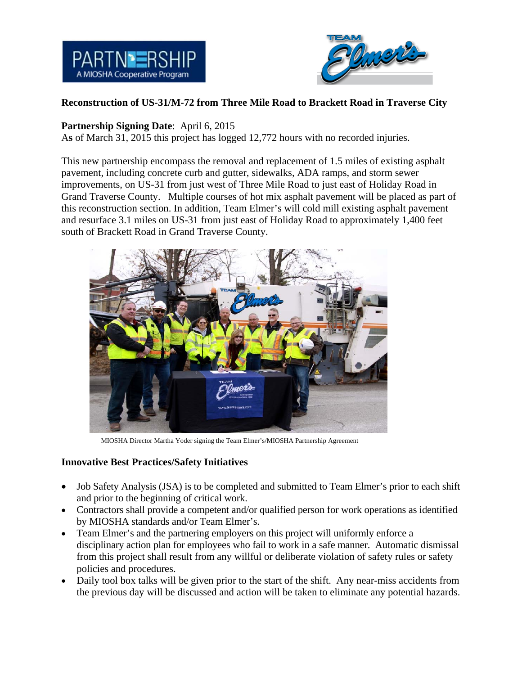



## **Reconstruction of US-31/M-72 from Three Mile Road to Brackett Road in Traverse City**

## **Partnership Signing Date**: April 6, 2015

A**s** of March 31, 2015 this project has logged 12,772 hours with no recorded injuries.

This new partnership encompass the removal and replacement of 1.5 miles of existing asphalt pavement, including concrete curb and gutter, sidewalks, ADA ramps, and storm sewer improvements, on US-31 from just west of Three Mile Road to just east of Holiday Road in Grand Traverse County. Multiple courses of hot mix asphalt pavement will be placed as part of this reconstruction section. In addition, Team Elmer's will cold mill existing asphalt pavement and resurface 3.1 miles on US-31 from just east of Holiday Road to approximately 1,400 feet south of Brackett Road in Grand Traverse County.



MIOSHA Director Martha Yoder signing the Team Elmer's/MIOSHA Partnership Agreement

## **Innovative Best Practices/Safety Initiatives**

- Job Safety Analysis (JSA) is to be completed and submitted to Team Elmer's prior to each shift and prior to the beginning of critical work.
- Contractors shall provide a competent and/or qualified person for work operations as identified by MIOSHA standards and/or Team Elmer's.
- Team Elmer's and the partnering employers on this project will uniformly enforce a disciplinary action plan for employees who fail to work in a safe manner. Automatic dismissal from this project shall result from any willful or deliberate violation of safety rules or safety policies and procedures.
- Daily tool box talks will be given prior to the start of the shift. Any near-miss accidents from the previous day will be discussed and action will be taken to eliminate any potential hazards.